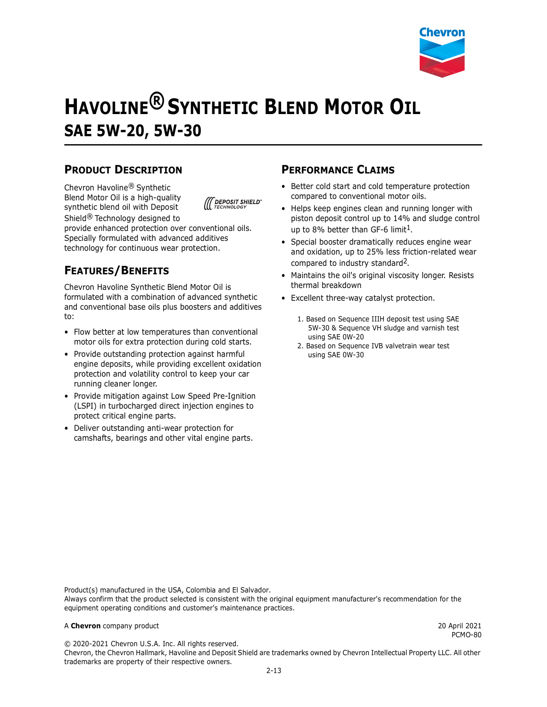

# **HAVOLINE® SYNTHETIC BLEND MOTOR OIL SAE 5W-20, 5W-30**

#### **PRODUCT DESCRIPTION**

Chevron Havoline® Synthetic Blend Motor Oil is a high-quality synthetic blend oil with Deposit Shield® Technology designed to



provide enhanced protection over conventional oils. Specially formulated with advanced additives technology for continuous wear protection.

### **FEATURES/BENEFITS**

Chevron Havoline Synthetic Blend Motor Oil is formulated with a combination of advanced synthetic and conventional base oils plus boosters and additives to:

- Flow better at low temperatures than conventional motor oils for extra protection during cold starts.
- Provide outstanding protection against harmful engine deposits, while providing excellent oxidation protection and volatility control to keep your car running cleaner longer.
- Provide mitigation against Low Speed Pre-Ignition (LSPI) in turbocharged direct injection engines to protect critical engine parts.
- Deliver outstanding anti-wear protection for camshafts, bearings and other vital engine parts.

#### **PERFORMANCE CLAIMS**

- Better cold start and cold temperature protection compared to conventional motor oils.
- Helps keep engines clean and running longer with piston deposit control up to 14% and sludge control up to 8% better than GF-6 limit<sup>1</sup>.
- Special booster dramatically reduces engine wear and oxidation, up to 25% less friction-related wear compared to industry standard<sup>2</sup>.
- Maintains the oil's original viscosity longer. Resists thermal breakdown
- Excellent three-way catalyst protection.
	- 1. Based on Sequence IIIH deposit test using SAE 5W-30 & Sequence VH sludge and varnish test using SAE 0W-20
	- 2. Based on Sequence IVB valvetrain wear test using SAE 0W-30

Product(s) manufactured in the USA, Colombia and El Salvador. Always confirm that the product selected is consistent with the original equipment manufacturer's recommendation for the equipment operating conditions and customer's maintenance practices.

#### A **Chevron** company product 20 April 2021

PCMO-80

© 2020-2021 Chevron U.S.A. Inc. All rights reserved. Chevron, the Chevron Hallmark, Havoline and Deposit Shield are trademarks owned by Chevron Intellectual Property LLC. All other trademarks are property of their respective owners.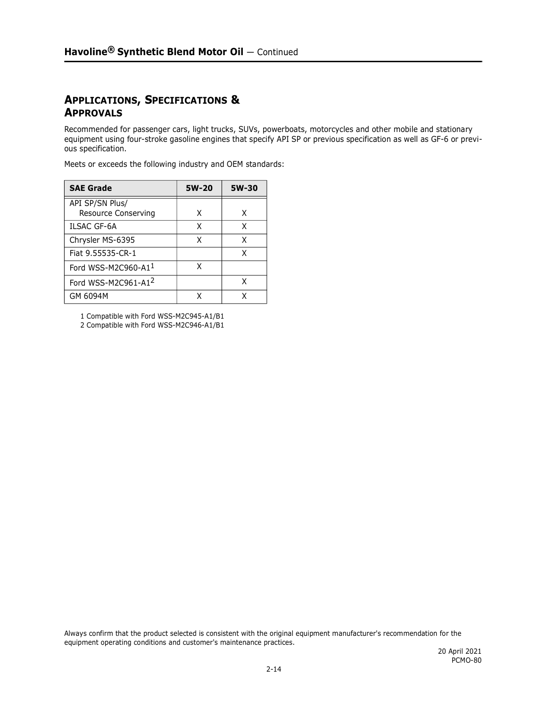#### **APPLICATIONS, SPECIFICATIONS & APPROVALS**

Recommended for passenger cars, light trucks, SUVs, powerboats, motorcycles and other mobile and stationary equipment using four-stroke gasoline engines that specify API SP or previous specification as well as GF-6 or previous specification.

Meets or exceeds the following industry and OEM standards:

| <b>SAE Grade</b>                       | 5W-20 | 5W-30 |
|----------------------------------------|-------|-------|
| API SP/SN Plus/<br>Resource Conserving | x     | x     |
| <b>ILSAC GF-6A</b>                     | x     | Χ     |
| Chrysler MS-6395                       | x     | χ     |
| Fiat 9.55535-CR-1                      |       | χ     |
| Ford WSS-M2C960-A11                    | x     |       |
| Ford WSS-M2C961-A12                    |       | x     |
| GM 6094M                               |       |       |

1 Compatible with Ford WSS-M2C945-A1/B1

2 Compatible with Ford WSS-M2C946-A1/B1

Always confirm that the product selected is consistent with the original equipment manufacturer's recommendation for the equipment operating conditions and customer's maintenance practices.